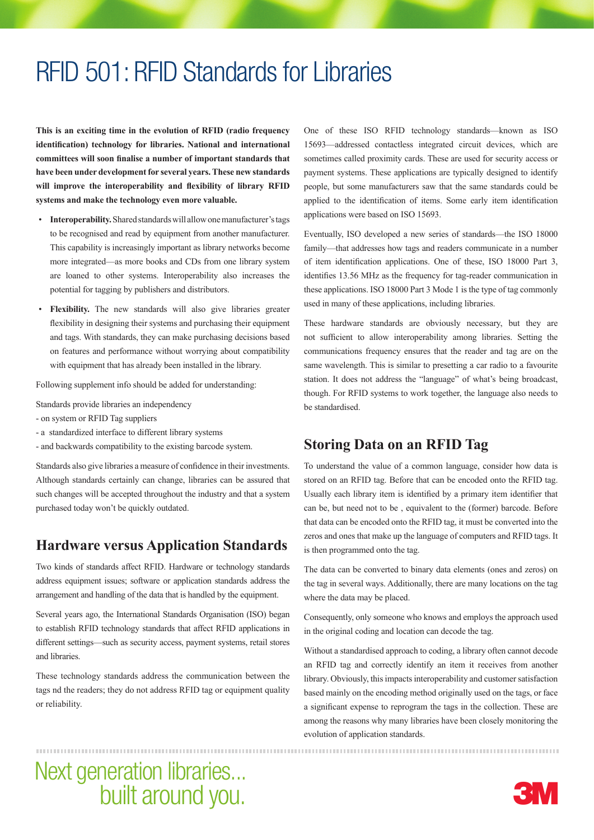# RFID 501: RFID Standards for Libraries

**This is an exciting time in the evolution of RFID (radio frequency identification) technology for libraries. National and international committees will soon finalise a number of important standards that have been under development for several years. These new standards will improve the interoperability and flexibility of library RFID systems and make the technology even more valuable.**

- Interoperability. Shared standards will allow one manufacturer's tags to be recognised and read by equipment from another manufacturer. This capability is increasingly important as library networks become more integrated—as more books and CDs from one library system are loaned to other systems. Interoperability also increases the potential for tagging by publishers and distributors.
- Flexibility. The new standards will also give libraries greater flexibility in designing their systems and purchasing their equipment and tags. With standards, they can make purchasing decisions based on features and performance without worrying about compatibility with equipment that has already been installed in the library.

Following supplement info should be added for understanding:

Standards provide libraries an independency

- on system or RFID Tag suppliers
- a standardized interface to different library systems
- and backwards compatibility to the existing barcode system.

Standards also give libraries a measure of confidence in their investments. Although standards certainly can change, libraries can be assured that such changes will be accepted throughout the industry and that a system purchased today won't be quickly outdated.

### **Hardware versus Application Standards**

Two kinds of standards affect RFID. Hardware or technology standards address equipment issues; software or application standards address the arrangement and handling of the data that is handled by the equipment.

Several years ago, the International Standards Organisation (ISO) began to establish RFID technology standards that affect RFID applications in different settings—such as security access, payment systems, retail stores and libraries.

These technology standards address the communication between the tags nd the readers; they do not address RFID tag or equipment quality or reliability.

One of these ISO RFID technology standards—known as ISO 15693—addressed contactless integrated circuit devices, which are sometimes called proximity cards. These are used for security access or payment systems. These applications are typically designed to identify people, but some manufacturers saw that the same standards could be applied to the identification of items. Some early item identification applications were based on ISO 15693.

Eventually, ISO developed a new series of standards—the ISO 18000 family—that addresses how tags and readers communicate in a number of item identification applications. One of these, ISO 18000 Part 3, identifies 13.56 MHz as the frequency for tag-reader communication in these applications. ISO 18000 Part 3 Mode 1 is the type of tag commonly used in many of these applications, including libraries.

These hardware standards are obviously necessary, but they are not sufficient to allow interoperability among libraries. Setting the communications frequency ensures that the reader and tag are on the same wavelength. This is similar to presetting a car radio to a favourite station. It does not address the "language" of what's being broadcast, though. For RFID systems to work together, the language also needs to be standardised.

### **Storing Data on an RFID Tag**

To understand the value of a common language, consider how data is stored on an RFID tag. Before that can be encoded onto the RFID tag. Usually each library item is identified by a primary item identifier that can be, but need not to be , equivalent to the (former) barcode. Before that data can be encoded onto the RFID tag, it must be converted into the zeros and ones that make up the language of computers and RFID tags. It is then programmed onto the tag.

The data can be converted to binary data elements (ones and zeros) on the tag in several ways. Additionally, there are many locations on the tag where the data may be placed.

Consequently, only someone who knows and employs the approach used in the original coding and location can decode the tag.

Without a standardised approach to coding, a library often cannot decode an RFID tag and correctly identify an item it receives from another library. Obviously, this impacts interoperability and customer satisfaction based mainly on the encoding method originally used on the tags, or face a significant expense to reprogram the tags in the collection. These are among the reasons why many libraries have been closely monitoring the evolution of application standards.

Next generation libraries... built around you.

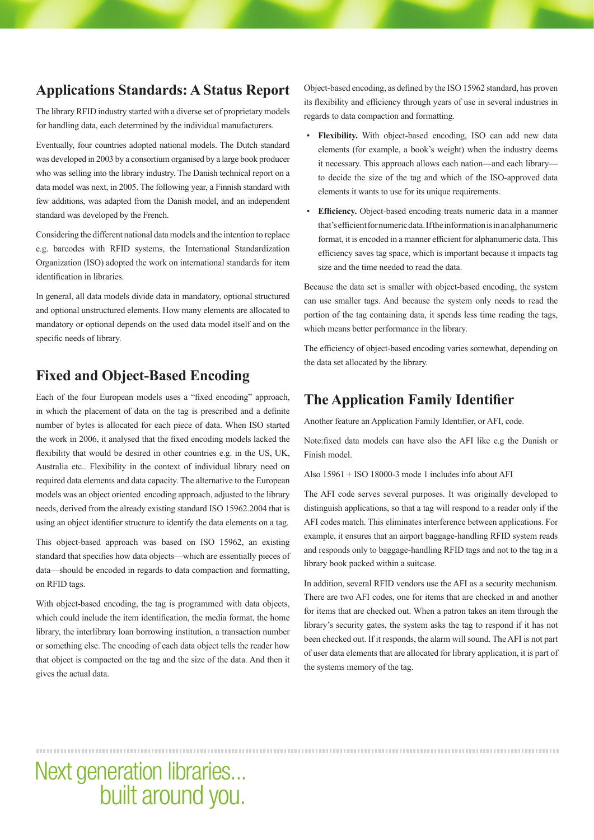### **Applications Standards: A Status Report**

The library RFID industry started with a diverse set of proprietary models for handling data, each determined by the individual manufacturers.

Eventually, four countries adopted national models. The Dutch standard was developed in 2003 by a consortium organised by a large book producer who was selling into the library industry. The Danish technical report on a data model was next, in 2005. The following year, a Finnish standard with few additions, was adapted from the Danish model, and an independent standard was developed by the French.

Considering the different national data models and the intention to replace e.g. barcodes with RFID systems, the International Standardization Organization (ISO) adopted the work on international standards for item identification in libraries.

In general, all data models divide data in mandatory, optional structured and optional unstructured elements. How many elements are allocated to mandatory or optional depends on the used data model itself and on the specific needs of library.

### **Fixed and Object-Based Encoding**

Each of the four European models uses a "fixed encoding" approach, in which the placement of data on the tag is prescribed and a definite number of bytes is allocated for each piece of data. When ISO started the work in 2006, it analysed that the fixed encoding models lacked the flexibility that would be desired in other countries e.g. in the US, UK, Australia etc.. Flexibility in the context of individual library need on required data elements and data capacity. The alternative to the European models was an object oriented encoding approach, adjusted to the library needs, derived from the already existing standard ISO 15962.2004 that is using an object identifier structure to identify the data elements on a tag.

This object-based approach was based on ISO 15962, an existing standard that specifies how data objects—which are essentially pieces of data—should be encoded in regards to data compaction and formatting, on RFID tags.

With object-based encoding, the tag is programmed with data objects, which could include the item identification, the media format, the home library, the interlibrary loan borrowing institution, a transaction number or something else. The encoding of each data object tells the reader how that object is compacted on the tag and the size of the data. And then it gives the actual data.

Object-based encoding, as defined by the ISO 15962 standard, has proven its flexibility and efficiency through years of use in several industries in regards to data compaction and formatting.

- Flexibility. With object-based encoding, ISO can add new data elements (for example, a book's weight) when the industry deems it necessary. This approach allows each nation—and each library to decide the size of the tag and which of the ISO-approved data elements it wants to use for its unique requirements.
- **Efficiency.** Object-based encoding treats numeric data in a manner that's efficient for numeric data. If the information is in an alphanumeric format, it is encoded in a manner efficient for alphanumeric data. This efficiency saves tag space, which is important because it impacts tag size and the time needed to read the data.

Because the data set is smaller with object-based encoding, the system can use smaller tags. And because the system only needs to read the portion of the tag containing data, it spends less time reading the tags, which means better performance in the library.

The efficiency of object-based encoding varies somewhat, depending on the data set allocated by the library.

### **The Application Family Identifier**

Another feature an Application Family Identifier, or AFI, code.

Note:fixed data models can have also the AFI like e.g the Danish or Finish model.

Also 15961 + ISO 18000-3 mode 1 includes info about AFI

The AFI code serves several purposes. It was originally developed to distinguish applications, so that a tag will respond to a reader only if the AFI codes match. This eliminates interference between applications. For example, it ensures that an airport baggage-handling RFID system reads and responds only to baggage-handling RFID tags and not to the tag in a library book packed within a suitcase.

In addition, several RFID vendors use the AFI as a security mechanism. There are two AFI codes, one for items that are checked in and another for items that are checked out. When a patron takes an item through the library's security gates, the system asks the tag to respond if it has not been checked out. If it responds, the alarm will sound. TheAFI is not part of user data elements that are allocated for library application, it is part of the systems memory of the tag.

# Next generation libraries... built around you.